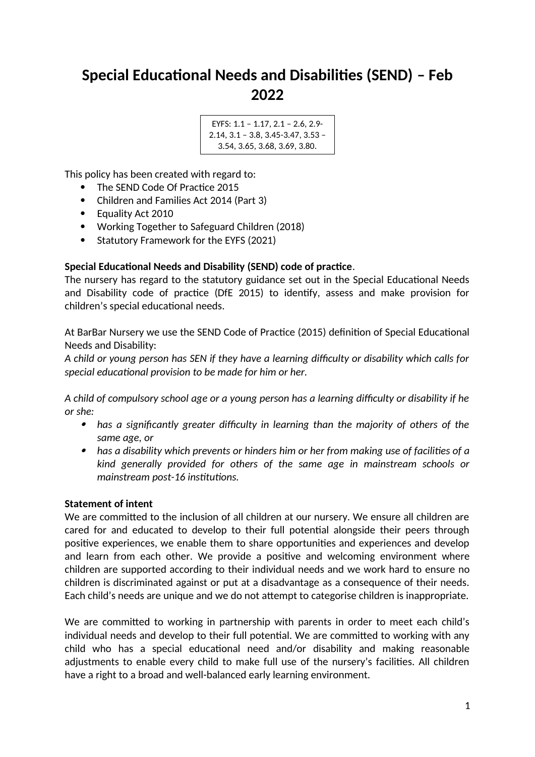# **Special Educational Needs and Disabilities (SEND) – Feb 2022**

```
EYFS: 1.1 – 1.17, 2.1 – 2.6, 2.9-
2.14, 3.1 – 3.8, 3.45-3.47, 3.53 –
  3.54, 3.65, 3.68, 3.69, 3.80.
```
This policy has been created with regard to:

- The SEND Code Of Practice 2015
- Children and Families Act 2014 (Part 3)
- Equality Act 2010
- Working Together to Safeguard Children (2018)
- Statutory Framework for the EYFS (2021)

## **Special Educational Needs and Disability (SEND) code of practice**.

The nursery has regard to the statutory guidance set out in the Special Educational Needs and Disability code of practice (DfE 2015) to identify, assess and make provision for children's special educational needs.

At BarBar Nursery we use the SEND Code of Practice (2015) definition of Special Educational Needs and Disability:

*A child or young person has SEN if they have a learning difficulty or disability which calls for special educational provision to be made for him or her.*

*A child of compulsory school age or a young person has a learning difficulty or disability if he or she:*

- *has a significantly greater difficulty in learning than the majority of others of the same age, or*
- *has a disability which prevents or hinders him or her from making use of facilities of a kind generally provided for others of the same age in mainstream schools or mainstream post-16 institutions.*

## **Statement of intent**

We are committed to the inclusion of all children at our nursery. We ensure all children are cared for and educated to develop to their full potential alongside their peers through positive experiences, we enable them to share opportunities and experiences and develop and learn from each other. We provide a positive and welcoming environment where children are supported according to their individual needs and we work hard to ensure no children is discriminated against or put at a disadvantage as a consequence of their needs. Each child's needs are unique and we do not attempt to categorise children is inappropriate.

We are committed to working in partnership with parents in order to meet each child's individual needs and develop to their full potential. We are committed to working with any child who has a special educational need and/or disability and making reasonable adjustments to enable every child to make full use of the nursery's facilities. All children have a right to a broad and well-balanced early learning environment.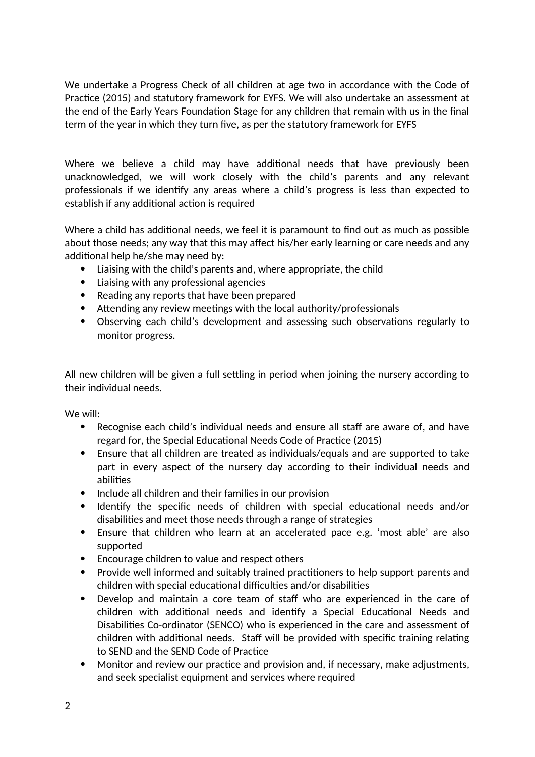We undertake a Progress Check of all children at age two in accordance with the Code of Practice (2015) and statutory framework for EYFS. We will also undertake an assessment at the end of the Early Years Foundation Stage for any children that remain with us in the final term of the year in which they turn five, as per the statutory framework for EYFS

Where we believe a child may have additional needs that have previously been unacknowledged, we will work closely with the child's parents and any relevant professionals if we identify any areas where a child's progress is less than expected to establish if any additional action is required

Where a child has additional needs, we feel it is paramount to find out as much as possible about those needs; any way that this may affect his/her early learning or care needs and any additional help he/she may need by:

- Liaising with the child's parents and, where appropriate, the child
- Liaising with any professional agencies
- Reading any reports that have been prepared
- Attending any review meetings with the local authority/professionals
- Observing each child's development and assessing such observations regularly to monitor progress.

All new children will be given a full settling in period when joining the nursery according to their individual needs.

We will:

- Recognise each child's individual needs and ensure all staff are aware of, and have regard for, the Special Educational Needs Code of Practice (2015)
- Ensure that all children are treated as individuals/equals and are supported to take part in every aspect of the nursery day according to their individual needs and abilities
- Include all children and their families in our provision
- Identify the specific needs of children with special educational needs and/or disabilities and meet those needs through a range of strategies
- Ensure that children who learn at an accelerated pace e.g. 'most able' are also supported
- Encourage children to value and respect others
- Provide well informed and suitably trained practitioners to help support parents and children with special educational difficulties and/or disabilities
- Develop and maintain a core team of staff who are experienced in the care of children with additional needs and identify a Special Educational Needs and Disabilities Co-ordinator (SENCO) who is experienced in the care and assessment of children with additional needs. Staff will be provided with specific training relating to SEND and the SEND Code of Practice
- Monitor and review our practice and provision and, if necessary, make adjustments, and seek specialist equipment and services where required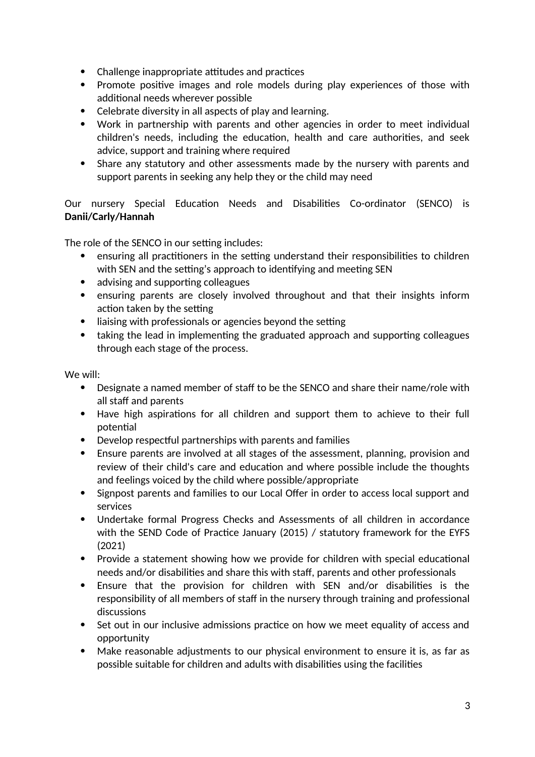- Challenge inappropriate attitudes and practices
- Promote positive images and role models during play experiences of those with additional needs wherever possible
- Celebrate diversity in all aspects of play and learning.
- Work in partnership with parents and other agencies in order to meet individual children's needs, including the education, health and care authorities, and seek advice, support and training where required
- Share any statutory and other assessments made by the nursery with parents and support parents in seeking any help they or the child may need

Our nursery Special Education Needs and Disabilities Co-ordinator (SENCO) is **Danii/Carly/Hannah**

The role of the SENCO in our setting includes:

- ensuring all practitioners in the setting understand their responsibilities to children with SEN and the setting's approach to identifying and meeting SEN
- advising and supporting colleagues
- ensuring parents are closely involved throughout and that their insights inform action taken by the setting
- liaising with professionals or agencies beyond the setting
- taking the lead in implementing the graduated approach and supporting colleagues through each stage of the process.

We will:

- Designate a named member of staff to be the SENCO and share their name/role with all staff and parents
- Have high aspirations for all children and support them to achieve to their full potential
- Develop respectful partnerships with parents and families
- Ensure parents are involved at all stages of the assessment, planning, provision and review of their child's care and education and where possible include the thoughts and feelings voiced by the child where possible/appropriate
- Signpost parents and families to our Local Offer in order to access local support and services
- Undertake formal Progress Checks and Assessments of all children in accordance with the SEND Code of Practice January (2015) / statutory framework for the EYFS (2021)
- Provide a statement showing how we provide for children with special educational needs and/or disabilities and share this with staff, parents and other professionals
- Ensure that the provision for children with SEN and/or disabilities is the responsibility of all members of staff in the nursery through training and professional discussions
- Set out in our inclusive admissions practice on how we meet equality of access and opportunity
- Make reasonable adjustments to our physical environment to ensure it is, as far as possible suitable for children and adults with disabilities using the facilities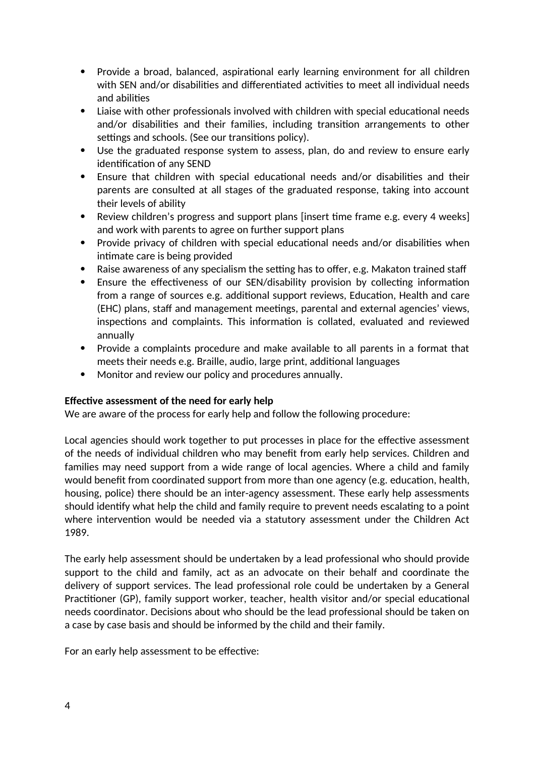- Provide a broad, balanced, aspirational early learning environment for all children with SEN and/or disabilities and differentiated activities to meet all individual needs and abilities
- Liaise with other professionals involved with children with special educational needs and/or disabilities and their families, including transition arrangements to other settings and schools. (See our transitions policy).
- Use the graduated response system to assess, plan, do and review to ensure early identification of any SEND
- Ensure that children with special educational needs and/or disabilities and their parents are consulted at all stages of the graduated response, taking into account their levels of ability
- Review children's progress and support plans [insert time frame e.g. every 4 weeks] and work with parents to agree on further support plans
- Provide privacy of children with special educational needs and/or disabilities when intimate care is being provided
- Raise awareness of any specialism the setting has to offer, e.g. Makaton trained staff
- Ensure the effectiveness of our SEN/disability provision by collecting information from a range of sources e.g. additional support reviews, Education, Health and care (EHC) plans, staff and management meetings, parental and external agencies' views, inspections and complaints. This information is collated, evaluated and reviewed annually
- Provide a complaints procedure and make available to all parents in a format that meets their needs e.g. Braille, audio, large print, additional languages
- Monitor and review our policy and procedures annually.

## **Effective assessment of the need for early help**

We are aware of the process for early help and follow the following procedure:

Local agencies should work together to put processes in place for the effective assessment of the needs of individual children who may benefit from early help services. Children and families may need support from a wide range of local agencies. Where a child and family would benefit from coordinated support from more than one agency (e.g. education, health, housing, police) there should be an inter-agency assessment. These early help assessments should identify what help the child and family require to prevent needs escalating to a point where intervention would be needed via a statutory assessment under the Children Act 1989.

The early help assessment should be undertaken by a lead professional who should provide support to the child and family, act as an advocate on their behalf and coordinate the delivery of support services. The lead professional role could be undertaken by a General Practitioner (GP), family support worker, teacher, health visitor and/or special educational needs coordinator. Decisions about who should be the lead professional should be taken on a case by case basis and should be informed by the child and their family.

For an early help assessment to be effective: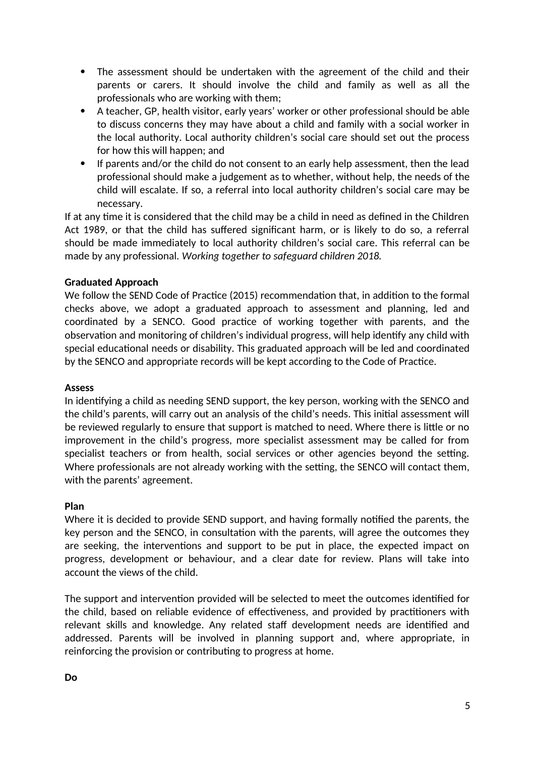- The assessment should be undertaken with the agreement of the child and their parents or carers. It should involve the child and family as well as all the professionals who are working with them;
- A teacher, GP, health visitor, early years' worker or other professional should be able to discuss concerns they may have about a child and family with a social worker in the local authority. Local authority children's social care should set out the process for how this will happen; and
- If parents and/or the child do not consent to an early help assessment, then the lead professional should make a judgement as to whether, without help, the needs of the child will escalate. If so, a referral into local authority children's social care may be necessary.

If at any time it is considered that the child may be a child in need as defined in the Children Act 1989, or that the child has suffered significant harm, or is likely to do so, a referral should be made immediately to local authority children's social care. This referral can be made by any professional. *Working together to safeguard children 2018.*

## **Graduated Approach**

We follow the SEND Code of Practice (2015) recommendation that, in addition to the formal checks above, we adopt a graduated approach to assessment and planning, led and coordinated by a SENCO. Good practice of working together with parents, and the observation and monitoring of children's individual progress, will help identify any child with special educational needs or disability. This graduated approach will be led and coordinated by the SENCO and appropriate records will be kept according to the Code of Practice.

#### **Assess**

In identifying a child as needing SEND support, the key person, working with the SENCO and the child's parents, will carry out an analysis of the child's needs. This initial assessment will be reviewed regularly to ensure that support is matched to need. Where there is little or no improvement in the child's progress, more specialist assessment may be called for from specialist teachers or from health, social services or other agencies beyond the setting. Where professionals are not already working with the setting, the SENCO will contact them, with the parents' agreement.

## **Plan**

Where it is decided to provide SEND support, and having formally notified the parents, the key person and the SENCO, in consultation with the parents, will agree the outcomes they are seeking, the interventions and support to be put in place, the expected impact on progress, development or behaviour, and a clear date for review. Plans will take into account the views of the child.

The support and intervention provided will be selected to meet the outcomes identified for the child, based on reliable evidence of effectiveness, and provided by practitioners with relevant skills and knowledge. Any related staff development needs are identified and addressed. Parents will be involved in planning support and, where appropriate, in reinforcing the provision or contributing to progress at home.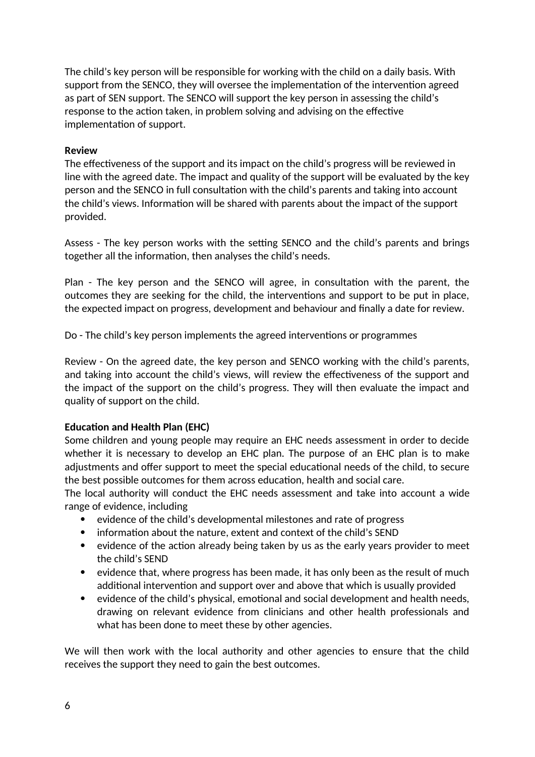The child's key person will be responsible for working with the child on a daily basis. With support from the SENCO, they will oversee the implementation of the intervention agreed as part of SEN support. The SENCO will support the key person in assessing the child's response to the action taken, in problem solving and advising on the effective implementation of support.

#### **Review**

The effectiveness of the support and its impact on the child's progress will be reviewed in line with the agreed date. The impact and quality of the support will be evaluated by the key person and the SENCO in full consultation with the child's parents and taking into account the child's views. Information will be shared with parents about the impact of the support provided.

Assess - The key person works with the setting SENCO and the child's parents and brings together all the information, then analyses the child's needs.

Plan - The key person and the SENCO will agree, in consultation with the parent, the outcomes they are seeking for the child, the interventions and support to be put in place, the expected impact on progress, development and behaviour and finally a date for review.

Do - The child's key person implements the agreed interventions or programmes

Review - On the agreed date, the key person and SENCO working with the child's parents, and taking into account the child's views, will review the effectiveness of the support and the impact of the support on the child's progress. They will then evaluate the impact and quality of support on the child.

## **Education and Health Plan (EHC)**

Some children and young people may require an EHC needs assessment in order to decide whether it is necessary to develop an EHC plan. The purpose of an EHC plan is to make adjustments and offer support to meet the special educational needs of the child, to secure the best possible outcomes for them across education, health and social care.

The local authority will conduct the EHC needs assessment and take into account a wide range of evidence, including

- evidence of the child's developmental milestones and rate of progress
- information about the nature, extent and context of the child's SEND
- evidence of the action already being taken by us as the early years provider to meet the child's SEND
- evidence that, where progress has been made, it has only been as the result of much additional intervention and support over and above that which is usually provided
- evidence of the child's physical, emotional and social development and health needs, drawing on relevant evidence from clinicians and other health professionals and what has been done to meet these by other agencies.

We will then work with the local authority and other agencies to ensure that the child receives the support they need to gain the best outcomes.